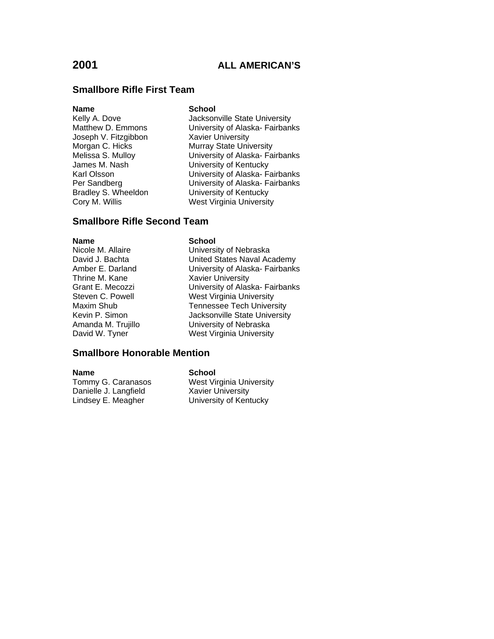# **Smallbore Rifle First Team**

### **Name** School

Joseph V. Fitzgibbon Xavier University<br>Morgan C. Hicks Murray State Univ

Kelly A. Dove **Jacksonville State University** Matthew D. Emmons University of Alaska- Fairbanks Murray State University Melissa S. Mulloy **Netwitter State University of Alaska- Fairbanks**<br>
University of Kentucky James M. Nash University of Kentucky<br>
Karl Olsson **Victor** University of Alaska-Fa Karl Olsson **Varian Communist University of Alaska- Fairbanks**<br>Per Sandberg **Communist University of Alaska- Fairbanks** Per Sandberg University of Alaska- Fairbanks<br>Bradley S. Wheeldon University of Kentucky **University of Kentucky** Cory M. Willis West Virginia University

# **Smallbore Rifle Second Team**

# **Name** School<br>Nicole M. Allaire **School** Thrine M. Kane Xavier University

Nicole M. Allaire **Nicole M. Allaire** University of Nebraska<br>David J. Bachta **Nicolas Contract United States Naval Ac** United States Naval Academy Amber E. Darland University of Alaska- Fairbanks Grant E. Mecozzi University of Alaska- Fairbanks Steven C. Powell **Mest Virginia University**<br>Maxim Shub **Maxim Communist Centers** Tennessee Tech Univers Maxim Shub Tennessee Tech University<br>
Kevin P. Simon Check Music University<br>
Jacksonville State University Jacksonville State University Amanda M. Trujillo University of Nebraska David W. Tyner West Virginia University

# **Smallbore Honorable Mention**

**Name School**<br>Tommy G. Caranasos **School** Danielle J. Langfield Lindsey E. Meagher University of Kentucky

West Virginia University<br>Xavier University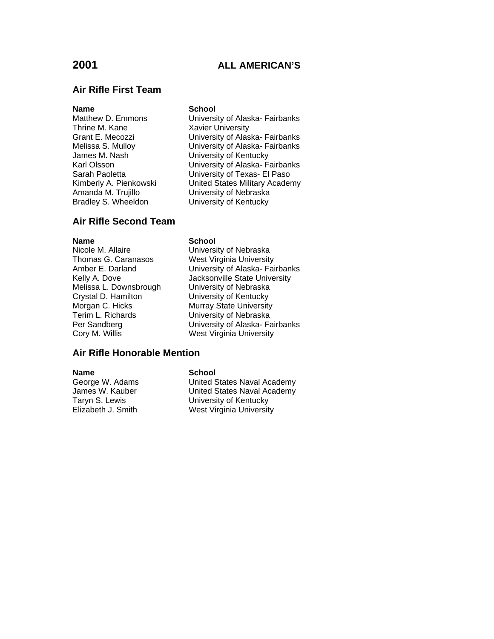### **Air Rifle First Team**

### **Name** School

Thrine M. Kane Xavier University James M. Nash **University of Kentucky**<br>
Karl Olsson **M. Nash University of Alaska-Fall** Amanda M. Trujillo **Chamata Christan University of Nebraska**<br>Bradley S. Wheeldon **Christan University of Kentucky** Bradley S. Wheeldon

Matthew D. Emmons University of Alaska- Fairbanks Grant E. Mecozzi **Christian Community Contains University of Alaska- Fairbanks**<br>Melissa S. Mulloy **Christian Community University of Alaska- Fairbanks** University of Alaska- Fairbanks Karl Olsson University of Alaska- Fairbanks<br>Sarah Paoletta University of Texas- El Paso University of Texas- El Paso Kimberly A. Pienkowski United States Military Academy

# **Air Rifle Second Team**

**Name School**<br>Nicole M. Allaire **School**<br>Universi Melissa L. Downsbrough Crystal D. Hamilton **University of Kentucky**<br>
Murray State University Morgan C. Hicks<br>
Terim L. Richards

Terim L. Richards

Terim L. Richards

Murray State University of Nebraska

Nicole M. Allaire **Nicole M. Allaire** University of Nebraska<br>Thomas G. Caranasos **Nicolas West Virginia University** West Virginia University Amber E. Darland University of Alaska- Fairbanks Kelly A. Dove **Jacksonville State University**<br>Melissa L. Downsbrough **July University of Nebraska** University of Nebraska Per Sandberg **University of Alaska- Fairbanks**<br>
Cory M. Willis **Nest Virginia University** West Virginia University

### **Air Rifle Honorable Mention**

**Name School**<br>George W. Adams **School** 

George W. Adams **United States Naval Academy**<br>James W. Kauber **United States Naval Academy** United States Naval Academy Taryn S. Lewis University of Kentucky Elizabeth J. Smith West Virginia University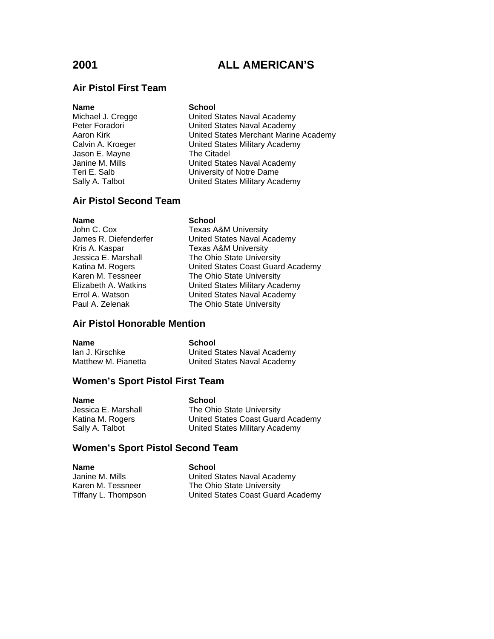# **Air Pistol First Team**

**Name** School<br>Michael J. Cregge **School** Jason E. Mayne The Citadel

United States Naval Academy Peter Foradori **National States Naval Academy** Aaron Kirk **Narion Communist Contract United States Merchant Marine Academy** Calvin A. Kroeger United States Military Academy Janine M. Mills **National States Naval Academy** Teri E. Salb University of Notre Dame Sally A. Talbot United States Military Academy

# **Air Pistol Second Team**

**Name School**<br>John C. Cox **Texas** A

Texas A&M University James R. Diefenderfer United States Naval Academy<br>Kris A. Kaspar Carel Texas A&M University Texas A&M University Jessica E. Marshall The Ohio State University Katina M. Rogers **Exercise States Coast Guard Academy**<br>Karen M. Tessneer **The Ohio State University** Karen M. Tessneer The Ohio State University<br>Elizabeth A. Watkins United States Military Aca United States Military Academy Errol A. Watson **Exercise States Naval Academy**<br>
Paul A. Zelenak **Naval Academy**<br>
The Ohio State University The Ohio State University

# **Air Pistol Honorable Mention**

| Name                | School                      |
|---------------------|-----------------------------|
| lan J. Kirschke     | United States Naval Academy |
| Matthew M. Pianetta | United States Naval Academy |

# **Women's Sport Pistol First Team**

| <b>Name</b>         | School                            |
|---------------------|-----------------------------------|
| Jessica E. Marshall | The Ohio State University         |
| Katina M. Rogers    | United States Coast Guard Academy |
| Sally A. Talbot     | United States Military Academy    |

# **Women's Sport Pistol Second Team**

**Name**<br> **School**<br> **School**<br> **School**<br> **School**<br> **School**<br> **School**<br> **School** 

Janine M. Mills **Inter Accommunity** United States Naval Academy<br>
Karen M. Tessneer **The Ohio State University** The Ohio State University Tiffany L. Thompson United States Coast Guard Academy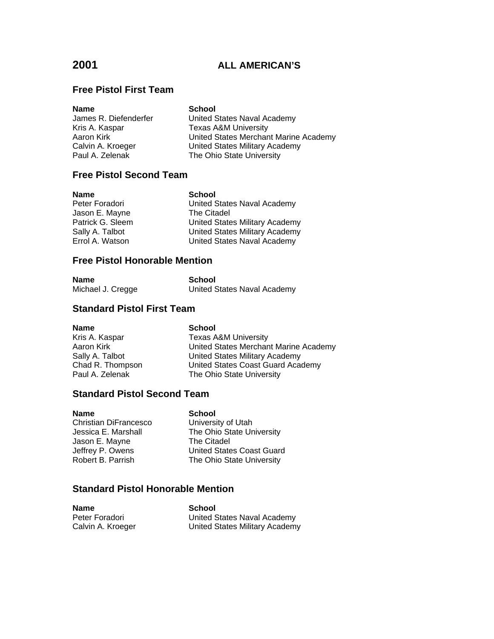# **Free Pistol First Team**

**Name School**

United States Naval Academy Kris A. Kaspar Texas A&M University Aaron Kirk **Narion Kirk Common States Merchant Marine Academy**<br>Calvin A. Kroeger **Calving Calvin Academy** Calvin A. Kroeger **United States Military Academy**<br>
Paul A. Zelenak **Netwith State University** The Ohio State University

# **Free Pistol Second Team**

| <b>School</b>                         |
|---------------------------------------|
| United States Naval Academy           |
| The Citadel                           |
| United States Military Academy        |
| <b>United States Military Academy</b> |
| United States Naval Academy           |
|                                       |

# **Free Pistol Honorable Mention**

| Name              | School                      |
|-------------------|-----------------------------|
| Michael J. Cregge | United States Naval Academy |

# **Standard Pistol First Team**

| <b>Name</b>      | <b>School</b>                         |
|------------------|---------------------------------------|
| Kris A. Kaspar   | <b>Texas A&amp;M University</b>       |
| Aaron Kirk       | United States Merchant Marine Academy |
| Sally A. Talbot  | United States Military Academy        |
| Chad R. Thompson | United States Coast Guard Academy     |
| Paul A. Zelenak  | The Ohio State University             |
|                  |                                       |

# **Standard Pistol Second Team**

| Name                  | <b>School</b>                    |
|-----------------------|----------------------------------|
| Christian DiFrancesco | University of Utah               |
| Jessica E. Marshall   | The Ohio State University        |
| Jason E. Mayne        | The Citadel                      |
| Jeffrey P. Owens      | <b>United States Coast Guard</b> |
| Robert B. Parrish     | The Ohio State University        |
|                       |                                  |

# **Standard Pistol Honorable Mention**

| <b>Name</b>       | School                         |
|-------------------|--------------------------------|
| Peter Foradori    | United States Naval Academy    |
| Calvin A. Kroeger | United States Military Academy |